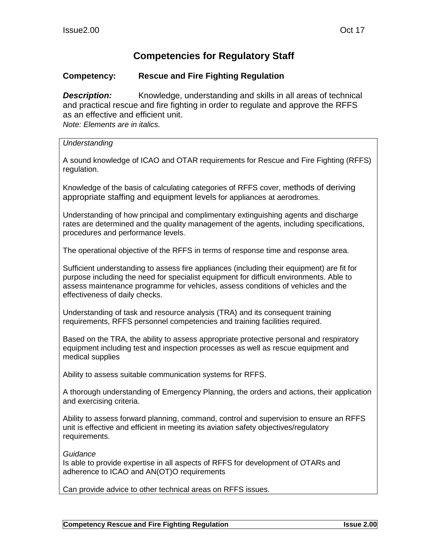## **Competencies for Regulatory Staff**

## **Competency: Rescue and Fire Fighting Regulation**

*Description:* Knowledge, understanding and skills in all areas of technical and practical rescue and fire fighting in order to regulate and approve the RFFS as an effective and efficient unit. *Note: Elements are in italics.*

*Understanding*

A sound knowledge of ICAO and OTAR requirements for Rescue and Fire Fighting (RFFS) regulation.

Knowledge of the basis of calculating categories of RFFS cover, methods of deriving appropriate staffing and equipment levels for appliances at aerodromes.

Understanding of how principal and complimentary extinguishing agents and discharge rates are determined and the quality management of the agents, including specifications, procedures and performance levels.

The operational objective of the RFFS in terms of response time and response area.

Sufficient understanding to assess fire appliances (including their equipment) are fit for purpose including the need for specialist equipment for difficult environments. Able to assess maintenance programme for vehicles, assess conditions of vehicles and the effectiveness of daily checks.

Understanding of task and resource analysis (TRA) and its consequent training requirements, RFFS personnel competencies and training facilities required.

Based on the TRA, the ability to assess appropriate protective personal and respiratory equipment including test and inspection processes as well as rescue equipment and medical supplies

Ability to assess suitable communication systems for RFFS.

A thorough understanding of Emergency Planning, the orders and actions, their application and exercising criteria.

Ability to assess forward planning, command, control and supervision to ensure an RFFS unit is effective and efficient in meeting its aviation safety objectives/regulatory requirements.

*Guidance*

Is able to provide expertise in all aspects of RFFS for development of OTARs and adherence to ICAO and AN(OT)O requirements

Can provide advice to other technical areas on RFFS issues.